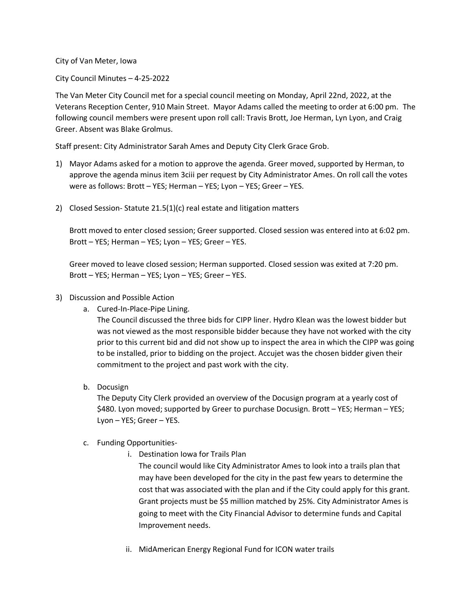City of Van Meter, Iowa

City Council Minutes – 4-25-2022

The Van Meter City Council met for a special council meeting on Monday, April 22nd, 2022, at the Veterans Reception Center, 910 Main Street. Mayor Adams called the meeting to order at 6:00 pm. The following council members were present upon roll call: Travis Brott, Joe Herman, Lyn Lyon, and Craig Greer. Absent was Blake Grolmus.

Staff present: City Administrator Sarah Ames and Deputy City Clerk Grace Grob.

- 1) Mayor Adams asked for a motion to approve the agenda. Greer moved, supported by Herman, to approve the agenda minus item 3ciii per request by City Administrator Ames. On roll call the votes were as follows: Brott – YES; Herman – YES; Lyon – YES; Greer – YES.
- 2) Closed Session- Statute 21.5(1)(c) real estate and litigation matters

Brott moved to enter closed session; Greer supported. Closed session was entered into at 6:02 pm. Brott – YES; Herman – YES; Lyon – YES; Greer – YES.

Greer moved to leave closed session; Herman supported. Closed session was exited at 7:20 pm. Brott – YES; Herman – YES; Lyon – YES; Greer – YES.

- 3) Discussion and Possible Action
	- a. Cured-In-Place-Pipe Lining.

The Council discussed the three bids for CIPP liner. Hydro Klean was the lowest bidder but was not viewed as the most responsible bidder because they have not worked with the city prior to this current bid and did not show up to inspect the area in which the CIPP was going to be installed, prior to bidding on the project. Accujet was the chosen bidder given their commitment to the project and past work with the city.

b. Docusign

The Deputy City Clerk provided an overview of the Docusign program at a yearly cost of \$480. Lyon moved; supported by Greer to purchase Docusign. Brott – YES; Herman – YES; Lyon – YES; Greer – YES.

- c. Funding Opportunities
	- i. Destination Iowa for Trails Plan

The council would like City Administrator Ames to look into a trails plan that may have been developed for the city in the past few years to determine the cost that was associated with the plan and if the City could apply for this grant. Grant projects must be \$5 million matched by 25%. City Administrator Ames is going to meet with the City Financial Advisor to determine funds and Capital Improvement needs.

ii. MidAmerican Energy Regional Fund for ICON water trails